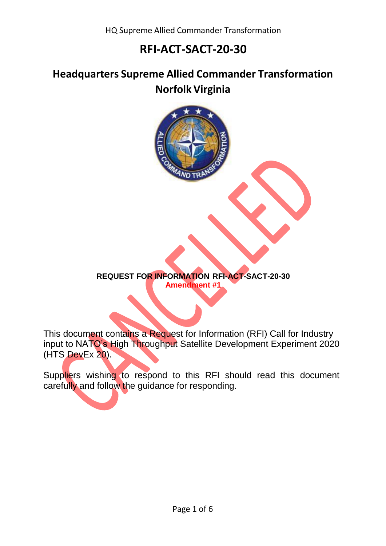## **Headquarters Supreme Allied Commander Transformation Norfolk Virginia**



This document contains a Request for Information (RFI) Call for Industry input to NATO's High Throughput Satellite Development Experiment 2020 (HTS DevEx 20).

Suppliers wishing to respond to this RFI should read this document carefully and follow the guidance for responding.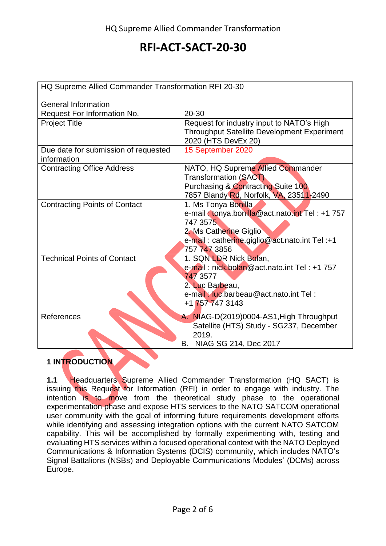| HQ Supreme Allied Commander Transformation RFI 20-30 |                                                                                                                                                                              |
|------------------------------------------------------|------------------------------------------------------------------------------------------------------------------------------------------------------------------------------|
| <b>General Information</b>                           |                                                                                                                                                                              |
| Request For Information No.                          | 20-30                                                                                                                                                                        |
| <b>Project Title</b>                                 | Request for industry input to NATO's High<br><b>Throughput Satellite Development Experiment</b>                                                                              |
|                                                      | 2020 (HTS DevEx 20)                                                                                                                                                          |
| Due date for submission of requested<br>information  | 15 September 2020                                                                                                                                                            |
| <b>Contracting Office Address</b>                    | NATO, HQ Supreme Allied Commander<br>Transformation (SACT)<br><b>Purchasing &amp; Contracting Suite 100</b><br>7857 Blandy Rd, Norfolk, VA, 23511-2490                       |
| <b>Contracting Points of Contact</b>                 | 1. Ms Tonya Bonilla<br>e-mail : tonya.bonilla@act.nato.int Tel: +1 757<br>747 3575<br>2. Ms Catherine Giglio<br>e-mail: catherine.giglio@act.nato.int Tel:+1<br>757 747 3856 |
| <b>Technical Points of Contact</b>                   | 1. SQN LDR Nick Bolan,<br>e-mail: nick.bolan@act.nato.int Tel: +1 757<br>747 3577<br>2. Luc Barbeau,<br>e-mail: luc.barbeau@act.nato.int Tel:<br>+1 757 747 3143             |
| References                                           | A. NIAG-D(2019)0004-AS1, High Throughput<br>Satellite (HTS) Study - SG237, December<br>2019.<br>IB.<br>NIAG SG 214, Dec 2017                                                 |

### **1 INTRODUCTION**

**1.1** Headquarters Supreme Allied Commander Transformation (HQ SACT) is issuing this Request for Information (RFI) in order to engage with industry. The intention is to move from the theoretical study phase to the operational experimentation phase and expose HTS services to the NATO SATCOM operational user community with the goal of informing future requirements development efforts while identifying and assessing integration options with the current NATO SATCOM capability. This will be accomplished by formally experimenting with, testing and evaluating HTS services within a focused operational context with the NATO Deployed Communications & Information Systems (DCIS) community, which includes NATO's Signal Battalions (NSBs) and Deployable Communications Modules' (DCMs) across Europe.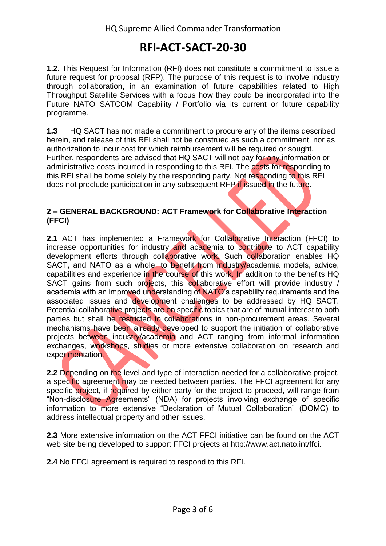**1.2.** This Request for Information (RFI) does not constitute a commitment to issue a future request for proposal (RFP). The purpose of this request is to involve industry through collaboration, in an examination of future capabilities related to High Throughput Satellite Services with a focus how they could be incorporated into the Future NATO SATCOM Capability / Portfolio via its current or future capability programme.

**1.3** HQ SACT has not made a commitment to procure any of the items described herein, and release of this RFI shall not be construed as such a commitment, nor as authorization to incur cost for which reimbursement will be required or sought. Further, respondents are advised that HQ SACT will not pay for any information or administrative costs incurred in responding to this RFI. The costs for responding to this RFI shall be borne solely by the responding party. Not responding to this RFI does not preclude participation in any subsequent RFP if issued in the future.

### **2 – GENERAL BACKGROUND: ACT Framework for Collaborative Interaction (FFCI)**

**2.1** ACT has implemented a Framework for Collaborative Interaction (FFCI) to increase opportunities for industry and academia to contribute to ACT capability development efforts through collaborative work. Such collaboration enables HQ SACT, and NATO as a whole, to benefit from industry/academia models, advice, capabilities and experience in the course of this work. In addition to the benefits HQ SACT gains from such projects, this collaborative effort will provide industry / academia with an improved understanding of NATO's capability requirements and the associated issues and development challenges to be addressed by HQ SACT. Potential collaborative projects are on specific topics that are of mutual interest to both parties but shall be restricted to collaborations in non-procurement areas. Several mechanisms have been already developed to support the initiation of collaborative projects between industry/academia and ACT ranging from informal information exchanges, workshops, studies or more extensive collaboration on research and experimentation.

**2.2** Depending on the level and type of interaction needed for a collaborative project, a specific agreement may be needed between parties. The FFCI agreement for any specific project, if required by either party for the project to proceed, will range from "Non-disclosure Agreements" (NDA) for projects involving exchange of specific information to more extensive "Declaration of Mutual Collaboration" (DOMC) to address intellectual property and other issues.

**2.3** More extensive information on the ACT FFCI initiative can be found on the ACT web site being developed to support FFCI projects at http://www.act.nato.int/ffci.

**2.4** No FFCI agreement is required to respond to this RFI.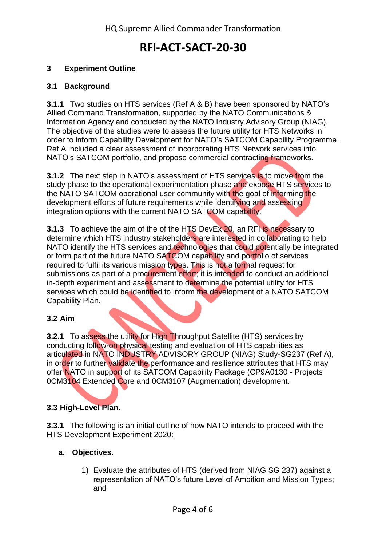### **3 Experiment Outline**

#### **3.1 Background**

**3.1.1** Two studies on HTS services (Ref A & B) have been sponsored by NATO's Allied Command Transformation, supported by the NATO Communications & Information Agency and conducted by the NATO Industry Advisory Group (NIAG). The objective of the studies were to assess the future utility for HTS Networks in order to inform Capability Development for NATO's SATCOM Capability Programme. Ref A included a clear assessment of incorporating HTS Network services into NATO's SATCOM portfolio, and propose commercial contracting frameworks.

**3.1.2** The next step in NATO's assessment of HTS services is to move from the study phase to the operational experimentation phase and expose HTS services to the NATO SATCOM operational user community with the goal of informing the development efforts of future requirements while identifying and assessing integration options with the current NATO SATCOM capability.

**3.1.3** To achieve the aim of the of the HTS DevEx 20, an RFI is necessary to determine which HTS industry stakeholders are interested in collaborating to help NATO identify the HTS services and technologies that could potentially be integrated or form part of the future NATO SATCOM capability and portfolio of services required to fulfil its various mission types. This is not a formal request for submissions as part of a procurement effort; it is intended to conduct an additional in-depth experiment and assessment to determine the potential utility for HTS services which could be identified to inform the development of a NATO SATCOM Capability Plan.

#### **3.2 Aim**

**3.2.1** To assess the utility for High Throughput Satellite (HTS) services by conducting follow-on physical testing and evaluation of HTS capabilities as articulated in NATO INDUSTRY ADVISORY GROUP (NIAG) Study-SG237 (Ref A), in order to further validate the performance and resilience attributes that HTS may offer NATO in support of its SATCOM Capability Package (CP9A0130 - Projects 0CM3104 Extended Core and 0CM3107 (Augmentation) development.

#### **3.3 High-Level Plan.**

**3.3.1** The following is an initial outline of how NATO intends to proceed with the HTS Development Experiment 2020:

#### **a. Objectives.**

1) Evaluate the attributes of HTS (derived from NIAG SG 237) against a representation of NATO's future Level of Ambition and Mission Types; and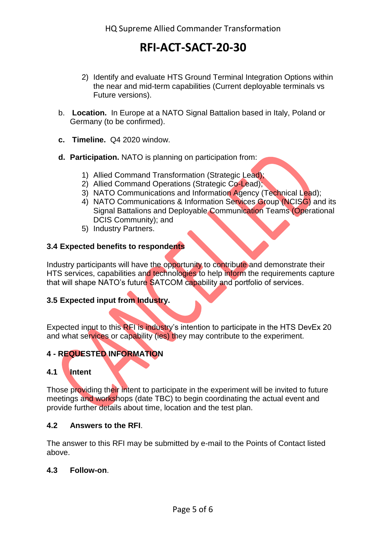- 2) Identify and evaluate HTS Ground Terminal Integration Options within the near and mid-term capabilities (Current deployable terminals vs Future versions).
- b. **Location.** In Europe at a NATO Signal Battalion based in Italy, Poland or Germany (to be confirmed).
- **c. Timeline.** Q4 2020 window.
- **d. Participation.** NATO is planning on participation from:
	- 1) Allied Command Transformation (Strategic Lead);
	- 2) Allied Command Operations (Strategic Co-Lead);
	- 3) NATO Communications and Information Agency (Technical Lead);
	- 4) NATO Communications & Information Services Group (NCISG) and its Signal Battalions and Deployable Communication Teams (Operational DCIS Community); and
	- 5) Industry Partners.

#### **3.4 Expected benefits to respondents**

Industry participants will have the opportunity to contribute and demonstrate their HTS services, capabilities and technologies to help inform the requirements capture that will shape NATO's future SATCOM capability and portfolio of services.

### **3.5 Expected input from Industry.**

Expected input to this RFI is industry's intention to participate in the HTS DevEx 20 and what services or capability (ies) they may contribute to the experiment.

### **4 - REQUESTED INFORMATION**

### **4.1 Intent**

Those providing their intent to participate in the experiment will be invited to future meetings and workshops (date TBC) to begin coordinating the actual event and provide further details about time, location and the test plan.

#### **4.2 Answers to the RFI**.

The answer to this RFI may be submitted by e-mail to the Points of Contact listed above.

#### **4.3 Follow-on**.